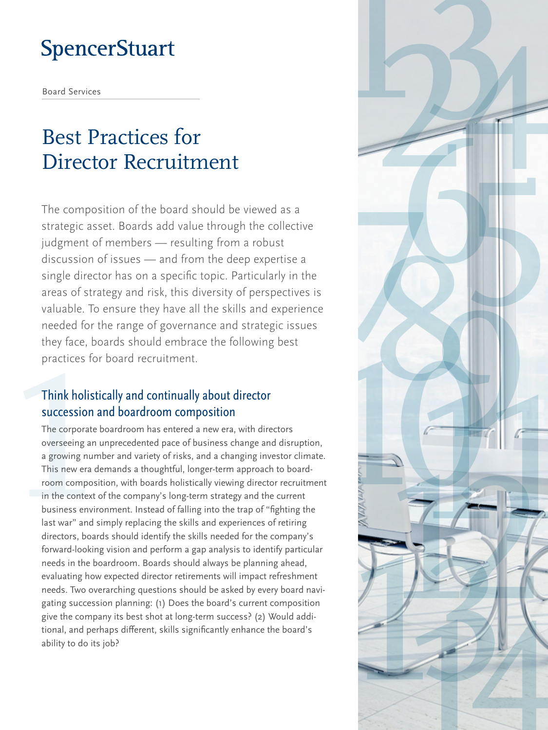# Best Practices for Director Recruitment

The composition of the board should be viewed as a strategic asset. Boards add value through the collective judgment of members — resulting from a robust discussion of issues — and from the deep expertise a single director has on a specific topic. Particularly in the areas of strategy and risk, this diversity of perspectives is valuable. To ensure they have all the skills and experience needed for the range of governance and strategic issues they face, boards should embrace the following best practices for board recruitment.

#### Think holistically and continually about director succession and boardroom composition

The corporate boardroom has entered a new era, with directors overseeing an unprecedented pace of business change and disruption, a growing number and variety of risks, and a changing investor climate. This new era demands a thoughtful, longer-term approach to boardroom composition, with boards holistically viewing director recruitment in the context of the company's long-term strategy and the current business environment. Instead of falling into the trap of "fighting the last war" and simply replacing the skills and experiences of retiring directors, boards should identify the skills needed for the company's forward-looking vision and perform a gap analysis to identify particular needs in the boardroom. Boards should always be planning ahead, evaluating how expected director retirements will impact refreshment needs. Two overarching questions should be asked by every board navigating succession planning: (1) Does the board's current composition give the company its best shot at long-term success? (2) Would additional, and perhaps different, skills significantly enhance the board's ability to do its job?

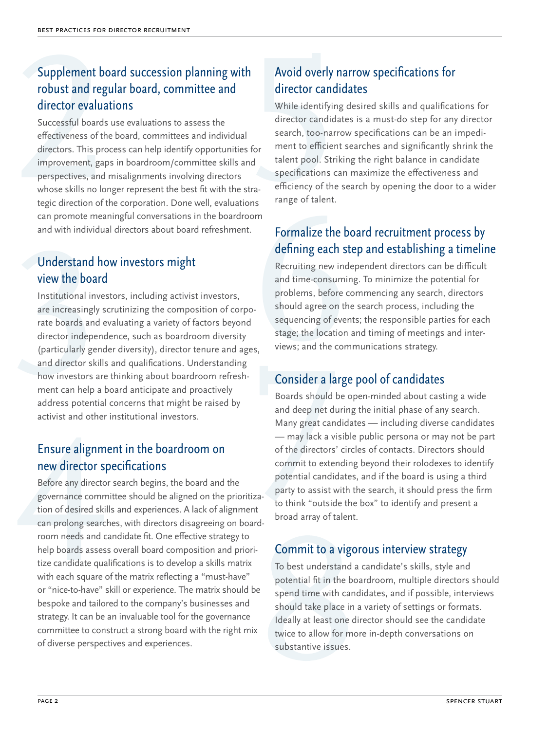### Supplement board succession planning with robust and regular board, committee and director evaluations

Successful boards use evaluations to assess the effectiveness of the board, committees and individual directors. This process can help identify opportunities for improvement, gaps in boardroom/committee skills and perspectives, and misalignments involving directors whose skills no longer represent the best fit with the strategic direction of the corporation. Done well, evaluations can promote meaningful conversations in the boardroom and with individual directors about board refreshment.

#### Understand how investors might view the board

Institutional investors, including activist investors, are increasingly scrutinizing the composition of corporate boards and evaluating a variety of factors beyond director independence, such as boardroom diversity (particularly gender diversity), director tenure and ages, and director skills and qualifications. Understanding how investors are thinking about boardroom refreshment can help a board anticipate and proactively address potential concerns that might be raised by activist and other institutional investors.

#### Ensure alignment in the boardroom on new director specifications

Before any director search begins, the board and the governance committee should be aligned on the prioritization of desired skills and experiences. A lack of alignment can prolong searches, with directors disagreeing on boardroom needs and candidate fit. One effective strategy to help boards assess overall board composition and prioritize candidate qualifications is to develop a skills matrix with each square of the matrix reflecting a "must-have" or "nice-to-have" skill or experience. The matrix should be bespoke and tailored to the company's businesses and strategy. It can be an invaluable tool for the governance committee to construct a strong board with the right mix of diverse perspectives and experiences.

## Avoid overly narrow specifications for director candidates

While identifying desired skills and qualifications for director candidates is a must-do step for any director search, too-narrow specifications can be an impediment to efficient searches and significantly shrink the talent pool. Striking the right balance in candidate specifications can maximize the effectiveness and efficiency of the search by opening the door to a wider range of talent.

#### Formalize the board recruitment process by defining each step and establishing a timeline

Recruiting new independent directors can be difficult and time-consuming. To minimize the potential for problems, before commencing any search, directors should agree on the search process, including the sequencing of events; the responsible parties for each stage; the location and timing of meetings and interviews; and the communications strategy.

### Consider a large pool of candidates

Boards should be open-minded about casting a wide and deep net during the initial phase of any search. Many great candidates — including diverse candidates — may lack a visible public persona or may not be part of the directors' circles of contacts. Directors should commit to extending beyond their rolodexes to identify potential candidates, and if the board is using a third party to assist with the search, it should press the firm to think "outside the box" to identify and present a broad array of talent.

#### Commit to a vigorous interview strategy

To best understand a candidate's skills, style and potential fit in the boardroom, multiple directors should spend time with candidates, and if possible, interviews should take place in a variety of settings or formats. Ideally at least one director should see the candidate twice to allow for more in-depth conversations on substantive issues.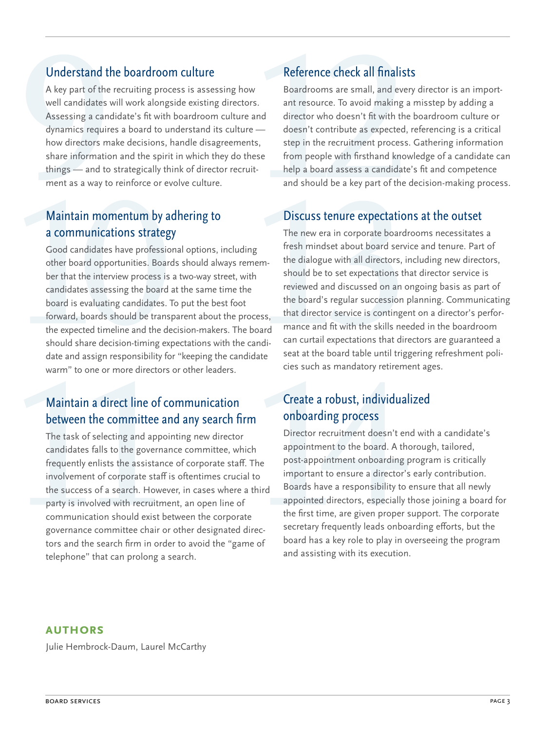#### Understand the boardroom culture

A key part of the recruiting process is assessing how well candidates will work alongside existing directors. Assessing a candidate's fit with boardroom culture and dynamics requires a board to understand its culture how directors make decisions, handle disagreements, share information and the spirit in which they do these things — and to strategically think of director recruitment as a way to reinforce or evolve culture.

#### Maintain momentum by adhering to a communications strategy

Good candidates have professional options, including other board opportunities. Boards should always remember that the interview process is a two-way street, with candidates assessing the board at the same time the board is evaluating candidates. To put the best foot forward, boards should be transparent about the process, the expected timeline and the decision-makers. The board should share decision-timing expectations with the candidate and assign responsibility for "keeping the candidate warm" to one or more directors or other leaders.

#### Maintain a direct line of communication between the committee and any search firm

The task of selecting and appointing new director candidates falls to the governance committee, which frequently enlists the assistance of corporate staff. The involvement of corporate staff is oftentimes crucial to the success of a search. However, in cases where a third party is involved with recruitment, an open line of communication should exist between the corporate governance committee chair or other designated directors and the search firm in order to avoid the "game of telephone" that can prolong a search.

## Reference check all finalists

Boardrooms are small, and every director is an important resource. To avoid making a misstep by adding a director who doesn't fit with the boardroom culture or doesn't contribute as expected, referencing is a critical step in the recruitment process. Gathering information from people with firsthand knowledge of a candidate can help a board assess a candidate's fit and competence and should be a key part of the decision-making process.

#### Discuss tenure expectations at the outset

The new era in corporate boardrooms necessitates a fresh mindset about board service and tenure. Part of the dialogue with all directors, including new directors, should be to set expectations that director service is reviewed and discussed on an ongoing basis as part of the board's regular succession planning. Communicating that director service is contingent on a director's performance and fit with the skills needed in the boardroom can curtail expectations that directors are guaranteed a seat at the board table until triggering refreshment policies such as mandatory retirement ages.

#### Create a robust, individualized onboarding process

Director recruitment doesn't end with a candidate's appointment to the board. A thorough, tailored, post-appointment onboarding program is critically important to ensure a director's early contribution. Boards have a responsibility to ensure that all newly appointed directors, especially those joining a board for the first time, are given proper support. The corporate secretary frequently leads onboarding efforts, but the board has a key role to play in overseeing the program and assisting with its execution.

#### **Authors**

Julie Hembrock-Daum, Laurel McCarthy